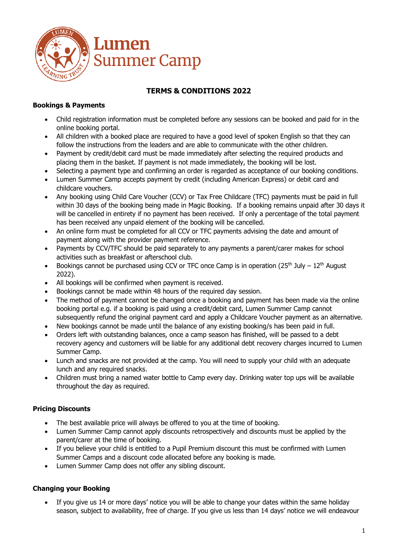

# **TERMS & CONDITIONS 2022**

### **Bookings & Payments**

- Child registration information must be completed before any sessions can be booked and paid for in the online booking portal.
- All children with a booked place are required to have a good level of spoken English so that they can follow the instructions from the leaders and are able to communicate with the other children.
- Payment by credit/debit card must be made immediately after selecting the required products and placing them in the basket. If payment is not made immediately, the booking will be lost.
- Selecting a payment type and confirming an order is regarded as acceptance of our booking conditions.
- Lumen Summer Camp accepts payment by credit (including American Express) or debit card and childcare vouchers.
- Any booking using Child Care Voucher (CCV) or Tax Free Childcare (TFC) payments must be paid in full within 30 days of the booking being made in Magic Booking. If a booking remains unpaid after 30 days it will be cancelled in entirety if no payment has been received. If only a percentage of the total payment has been received any unpaid element of the booking will be cancelled.
- An online form must be completed for all CCV or TFC payments advising the date and amount of payment along with the provider payment reference.
- Payments by CCV/TFC should be paid separately to any payments a parent/carer makes for school activities such as breakfast or afterschool club.
- Bookings cannot be purchased using CCV or TFC once Camp is in operation  $(25<sup>th</sup>$  July  $12<sup>th</sup>$  August 2022).
- All bookings will be confirmed when payment is received.
- Bookings cannot be made within 48 hours of the required day session.
- The method of payment cannot be changed once a booking and payment has been made via the online booking portal e.g. if a booking is paid using a credit/debit card, Lumen Summer Camp cannot subsequently refund the original payment card and apply a Childcare Voucher payment as an alternative.
- New bookings cannot be made until the balance of any existing booking/s has been paid in full.
- Orders left with outstanding balances, once a camp season has finished, will be passed to a debt recovery agency and customers will be liable for any additional debt recovery charges incurred to Lumen Summer Camp.
- Lunch and snacks are not provided at the camp. You will need to supply your child with an adequate lunch and any required snacks.
- Children must bring a named water bottle to Camp every day. Drinking water top ups will be available throughout the day as required.

## **Pricing Discounts**

- The best available price will always be offered to you at the time of booking.
- Lumen Summer Camp cannot apply discounts retrospectively and discounts must be applied by the parent/carer at the time of booking.
- If you believe your child is entitled to a Pupil Premium discount this must be confirmed with Lumen Summer Camps and a discount code allocated before any booking is made.
- Lumen Summer Camp does not offer any sibling discount.

## **Changing your Booking**

• If you give us 14 or more days' notice you will be able to change your dates within the same holiday season, subject to availability, free of charge. If you give us less than 14 days' notice we will endeavour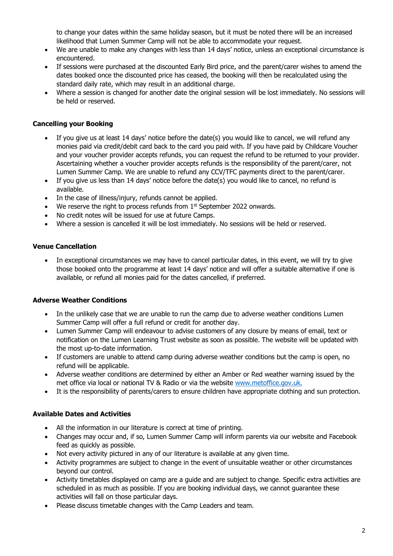to change your dates within the same holiday season, but it must be noted there will be an increased likelihood that Lumen Summer Camp will not be able to accommodate your request.

- We are unable to make any changes with less than 14 days' notice, unless an exceptional circumstance is encountered.
- If sessions were purchased at the discounted Early Bird price, and the parent/carer wishes to amend the dates booked once the discounted price has ceased, the booking will then be recalculated using the standard daily rate, which may result in an additional charge.
- Where a session is changed for another date the original session will be lost immediately. No sessions will be held or reserved.

### **Cancelling your Booking**

- If you give us at least 14 days' notice before the date(s) you would like to cancel, we will refund any monies paid via credit/debit card back to the card you paid with. If you have paid by Childcare Voucher and your voucher provider accepts refunds, you can request the refund to be returned to your provider. Ascertaining whether a voucher provider accepts refunds is the responsibility of the parent/carer, not Lumen Summer Camp. We are unable to refund any CCV/TFC payments direct to the parent/carer.
- If you give us less than 14 days' notice before the date(s) you would like to cancel, no refund is available.
- In the case of illness/injury, refunds cannot be applied.
- $\bullet$  We reserve the right to process refunds from  $1^{st}$  September 2022 onwards.
- No credit notes will be issued for use at future Camps.
- Where a session is cancelled it will be lost immediately. No sessions will be held or reserved.

#### **Venue Cancellation**

• In exceptional circumstances we may have to cancel particular dates, in this event, we will try to give those booked onto the programme at least 14 days' notice and will offer a suitable alternative if one is available, or refund all monies paid for the dates cancelled, if preferred.

#### **Adverse Weather Conditions**

- In the unlikely case that we are unable to run the camp due to adverse weather conditions Lumen Summer Camp will offer a full refund or credit for another day.
- Lumen Summer Camp will endeavour to advise customers of any closure by means of email, text or notification on the Lumen Learning Trust website as soon as possible. The website will be updated with the most up-to-date information.
- If customers are unable to attend camp during adverse weather conditions but the camp is open, no refund will be applicable.
- Adverse weather conditions are determined by either an Amber or Red weather warning issued by the met office via local or national TV & Radio or via the website [www.metoffice.gov.uk.](http://www.metoffice.gov.uk/)
- It is the responsibility of parents/carers to ensure children have appropriate clothing and sun protection.

#### **Available Dates and Activities**

- All the information in our literature is correct at time of printing.
- Changes may occur and, if so, Lumen Summer Camp will inform parents via our website and Facebook feed as quickly as possible.
- Not every activity pictured in any of our literature is available at any given time.
- Activity programmes are subject to change in the event of unsuitable weather or other circumstances beyond our control.
- Activity timetables displayed on camp are a guide and are subject to change. Specific extra activities are scheduled in as much as possible. If you are booking individual days, we cannot guarantee these activities will fall on those particular days.
- Please discuss timetable changes with the Camp Leaders and team.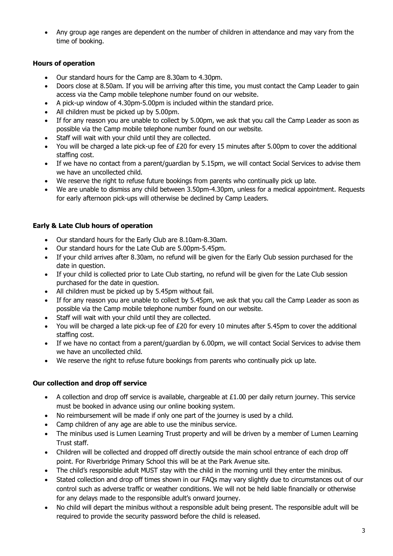• Any group age ranges are dependent on the number of children in attendance and may vary from the time of booking.

## **Hours of operation**

- Our standard hours for the Camp are 8.30am to 4.30pm.
- Doors close at 8.50am. If you will be arriving after this time, you must contact the Camp Leader to gain access via the Camp mobile telephone number found on our website.
- A pick-up window of 4.30pm-5.00pm is included within the standard price.
- All children must be picked up by 5.00pm.
- If for any reason you are unable to collect by 5.00pm, we ask that you call the Camp Leader as soon as possible via the Camp mobile telephone number found on our website.
- Staff will wait with your child until they are collected.
- You will be charged a late pick-up fee of £20 for every 15 minutes after 5.00pm to cover the additional staffing cost.
- If we have no contact from a parent/quardian by 5.15pm, we will contact Social Services to advise them we have an uncollected child.
- We reserve the right to refuse future bookings from parents who continually pick up late.
- We are unable to dismiss any child between 3.50pm-4.30pm, unless for a medical appointment. Requests for early afternoon pick-ups will otherwise be declined by Camp Leaders.

### **Early & Late Club hours of operation**

- Our standard hours for the Early Club are 8.10am-8.30am.
- Our standard hours for the Late Club are 5.00pm-5.45pm.
- If your child arrives after 8.30am, no refund will be given for the Early Club session purchased for the date in question.
- If your child is collected prior to Late Club starting, no refund will be given for the Late Club session purchased for the date in question.
- All children must be picked up by 5.45pm without fail.
- If for any reason you are unable to collect by 5.45pm, we ask that you call the Camp Leader as soon as possible via the Camp mobile telephone number found on our website.
- Staff will wait with your child until they are collected.
- You will be charged a late pick-up fee of  $E20$  for every 10 minutes after 5.45pm to cover the additional staffing cost.
- If we have no contact from a parent/quardian by 6.00pm, we will contact Social Services to advise them we have an uncollected child.
- We reserve the right to refuse future bookings from parents who continually pick up late.

## **Our collection and drop off service**

- A collection and drop off service is available, chargeable at  $£1.00$  per daily return journey. This service must be booked in advance using our online booking system.
- No reimbursement will be made if only one part of the journey is used by a child.
- Camp children of any age are able to use the minibus service.
- The minibus used is Lumen Learning Trust property and will be driven by a member of Lumen Learning Trust staff.
- Children will be collected and dropped off directly outside the main school entrance of each drop off point. For Riverbridge Primary School this will be at the Park Avenue site.
- The child's responsible adult MUST stay with the child in the morning until they enter the minibus.
- Stated collection and drop off times shown in our FAQs may vary slightly due to circumstances out of our control such as adverse traffic or weather conditions. We will not be held liable financially or otherwise for any delays made to the responsible adult's onward journey.
- No child will depart the minibus without a responsible adult being present. The responsible adult will be required to provide the security password before the child is released.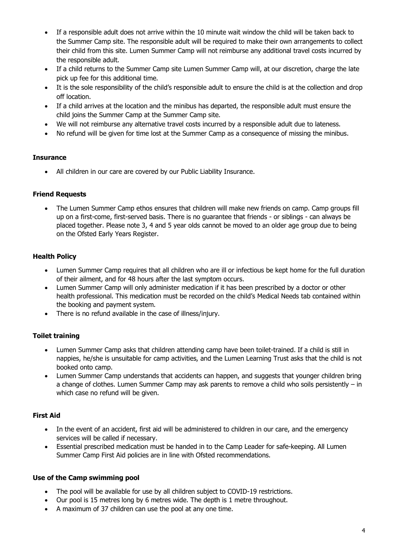- If a responsible adult does not arrive within the 10 minute wait window the child will be taken back to the Summer Camp site. The responsible adult will be required to make their own arrangements to collect their child from this site. Lumen Summer Camp will not reimburse any additional travel costs incurred by the responsible adult.
- If a child returns to the Summer Camp site Lumen Summer Camp will, at our discretion, charge the late pick up fee for this additional time.
- It is the sole responsibility of the child's responsible adult to ensure the child is at the collection and drop off location.
- If a child arrives at the location and the minibus has departed, the responsible adult must ensure the child joins the Summer Camp at the Summer Camp site.
- We will not reimburse any alternative travel costs incurred by a responsible adult due to lateness.
- No refund will be given for time lost at the Summer Camp as a consequence of missing the minibus.

#### **Insurance**

• All children in our care are covered by our Public Liability Insurance.

#### **Friend Requests**

• The Lumen Summer Camp ethos ensures that children will make new friends on camp. Camp groups fill up on a first-come, first-served basis. There is no guarantee that friends - or siblings - can always be placed together. Please note 3, 4 and 5 year olds cannot be moved to an older age group due to being on the Ofsted Early Years Register.

#### **Health Policy**

- Lumen Summer Camp requires that all children who are ill or infectious be kept home for the full duration of their ailment, and for 48 hours after the last symptom occurs.
- Lumen Summer Camp will only administer medication if it has been prescribed by a doctor or other health professional. This medication must be recorded on the child's Medical Needs tab contained within the booking and payment system.
- There is no refund available in the case of illness/injury.

#### **Toilet training**

- Lumen Summer Camp asks that children attending camp have been toilet-trained. If a child is still in nappies, he/she is unsuitable for camp activities, and the Lumen Learning Trust asks that the child is not booked onto camp.
- Lumen Summer Camp understands that accidents can happen, and suggests that younger children bring a change of clothes. Lumen Summer Camp may ask parents to remove a child who soils persistently – in which case no refund will be given.

#### **First Aid**

- In the event of an accident, first aid will be administered to children in our care, and the emergency services will be called if necessary.
- Essential prescribed medication must be handed in to the Camp Leader for safe-keeping. All Lumen Summer Camp First Aid policies are in line with Ofsted recommendations.

#### **Use of the Camp swimming pool**

- The pool will be available for use by all children subject to COVID-19 restrictions.
- Our pool is 15 metres long by 6 metres wide. The depth is 1 metre throughout.
- A maximum of 37 children can use the pool at any one time.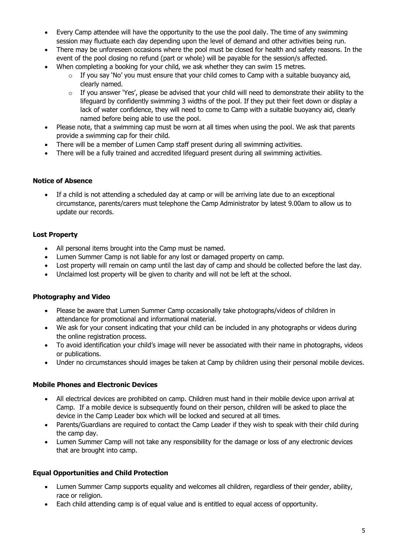- Every Camp attendee will have the opportunity to the use the pool daily. The time of any swimming session may fluctuate each day depending upon the level of demand and other activities being run.
- There may be unforeseen occasions where the pool must be closed for health and safety reasons. In the event of the pool closing no refund (part or whole) will be payable for the session/s affected.
- When completing a booking for your child, we ask whether they can swim 15 metres.
	- o If you say 'No' you must ensure that your child comes to Camp with a suitable buoyancy aid, clearly named.
	- $\circ$  If you answer 'Yes', please be advised that your child will need to demonstrate their ability to the lifeguard by confidently swimming 3 widths of the pool. If they put their feet down or display a lack of water confidence, they will need to come to Camp with a suitable buoyancy aid, clearly named before being able to use the pool.
- Please note, that a swimming cap must be worn at all times when using the pool. We ask that parents provide a swimming cap for their child.
- There will be a member of Lumen Camp staff present during all swimming activities.
- There will be a fully trained and accredited lifeguard present during all swimming activities.

#### **Notice of Absence**

• If a child is not attending a scheduled day at camp or will be arriving late due to an exceptional circumstance, parents/carers must telephone the Camp Administrator by latest 9.00am to allow us to update our records.

### **Lost Property**

- All personal items brought into the Camp must be named.
- Lumen Summer Camp is not liable for any lost or damaged property on camp.
- Lost property will remain on camp until the last day of camp and should be collected before the last day.
- Unclaimed lost property will be given to charity and will not be left at the school.

#### **Photography and Video**

- Please be aware that Lumen Summer Camp occasionally take photographs/videos of children in attendance for promotional and informational material.
- We ask for your consent indicating that your child can be included in any photographs or videos during the online registration process.
- To avoid identification your child's image will never be associated with their name in photographs, videos or publications.
- Under no circumstances should images be taken at Camp by children using their personal mobile devices.

#### **Mobile Phones and Electronic Devices**

- All electrical devices are prohibited on camp. Children must hand in their mobile device upon arrival at Camp. If a mobile device is subsequently found on their person, children will be asked to place the device in the Camp Leader box which will be locked and secured at all times.
- Parents/Guardians are required to contact the Camp Leader if they wish to speak with their child during the camp day.
- Lumen Summer Camp will not take any responsibility for the damage or loss of any electronic devices that are brought into camp.

#### **Equal Opportunities and Child Protection**

- Lumen Summer Camp supports equality and welcomes all children, regardless of their gender, ability, race or religion.
- Each child attending camp is of equal value and is entitled to equal access of opportunity.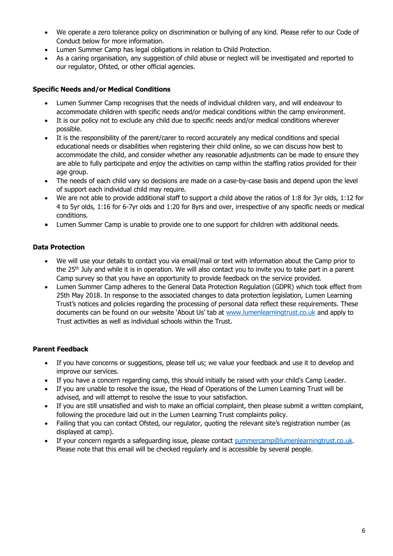- We operate a zero tolerance policy on discrimination or bullying of any kind. Please refer to our Code of Conduct below for more information.
- Lumen Summer Camp has legal obligations in relation to Child Protection.
- As a caring organisation, any suggestion of child abuse or neglect will be investigated and reported to our regulator, Ofsted, or other official agencies.

#### **Specific Needs and/or Medical Conditions**

- Lumen Summer Camp recognises that the needs of individual children vary, and will endeavour to accommodate children with specific needs and/or medical conditions within the camp environment.
- It is our policy not to exclude any child due to specific needs and/or medical conditions wherever possible.
- It is the responsibility of the parent/carer to record accurately any medical conditions and special educational needs or disabilities when registering their child online, so we can discuss how best to accommodate the child, and consider whether any reasonable adjustments can be made to ensure they are able to fully participate and enjoy the activities on camp within the staffing ratios provided for their age group.
- The needs of each child vary so decisions are made on a case-by-case basis and depend upon the level of support each individual child may require.
- We are not able to provide additional staff to support a child above the ratios of 1:8 for 3yr olds, 1:12 for 4 to 5yr olds, 1:16 for 6-7yr olds and 1:20 for 8yrs and over, irrespective of any specific needs or medical conditions.
- Lumen Summer Camp is unable to provide one to one support for children with additional needs.

### **Data Protection**

- We will use your details to contact you via email/mail or text with information about the Camp prior to the 25<sup>th</sup> July and while it is in operation. We will also contact you to invite you to take part in a parent Camp survey so that you have an opportunity to provide feedback on the service provided.
- Lumen Summer Camp adheres to the General Data Protection Regulation (GDPR) which took effect from 25th May 2018. In response to the associated changes to data protection legislation, Lumen Learning Trust's notices and policies regarding the processing of personal data reflect these requirements. These documents can be found on our website 'About Us' tab at [www.lumenlearningtrust.co.uk](http://www.lumenlearningtrust.co.uk/) and apply to Trust activities as well as individual schools within the Trust.

## **Parent Feedback**

- If you have concerns or suggestions, please tell us; we value your feedback and use it to develop and improve our services.
- If you have a concern regarding camp, this should initially be raised with your child's Camp Leader.
- If you are unable to resolve the issue, the Head of Operations of the Lumen Learning Trust will be advised, and will attempt to resolve the issue to your satisfaction.
- If you are still unsatisfied and wish to make an official complaint, then please submit a written complaint, following the procedure laid out in the Lumen Learning Trust complaints policy.
- Failing that you can contact Ofsted, our regulator, quoting the relevant site's registration number (as displayed at camp).
- If your concern regards a safeguarding issue, please contact [summercamp@lumenlearningtrust.co.uk.](mailto:summercamp@lumenlearningtrust.co.uk) Please note that this email will be checked regularly and is accessible by several people.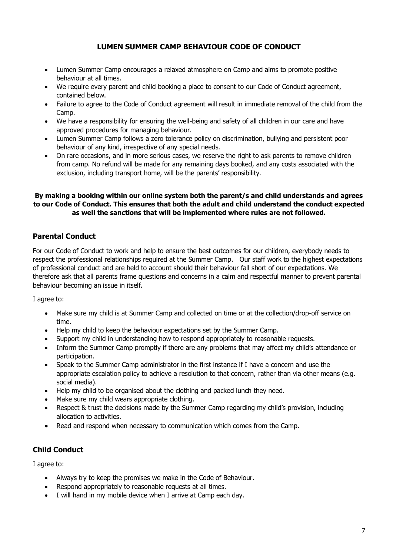# **LUMEN SUMMER CAMP BEHAVIOUR CODE OF CONDUCT**

- Lumen Summer Camp encourages a relaxed atmosphere on Camp and aims to promote positive behaviour at all times.
- We require every parent and child booking a place to consent to our Code of Conduct agreement, contained below.
- Failure to agree to the Code of Conduct agreement will result in immediate removal of the child from the Camp.
- We have a responsibility for ensuring the well-being and safety of all children in our care and have approved procedures for managing behaviour.
- Lumen Summer Camp follows a zero tolerance policy on discrimination, bullying and persistent poor behaviour of any kind, irrespective of any special needs.
- On rare occasions, and in more serious cases, we reserve the right to ask parents to remove children from camp. No refund will be made for any remaining days booked, and any costs associated with the exclusion, including transport home, will be the parents' responsibility.

### **By making a booking within our online system both the parent/s and child understands and agrees to our Code of Conduct. This ensures that both the adult and child understand the conduct expected as well the sanctions that will be implemented where rules are not followed.**

# **Parental Conduct**

For our Code of Conduct to work and help to ensure the best outcomes for our children, everybody needs to respect the professional relationships required at the Summer Camp. Our staff work to the highest expectations of professional conduct and are held to account should their behaviour fall short of our expectations. We therefore ask that all parents frame questions and concerns in a calm and respectful manner to prevent parental behaviour becoming an issue in itself.

I agree to:

- Make sure my child is at Summer Camp and collected on time or at the collection/drop-off service on time.
- Help my child to keep the behaviour expectations set by the Summer Camp.
- Support my child in understanding how to respond appropriately to reasonable requests.
- Inform the Summer Camp promptly if there are any problems that may affect my child's attendance or participation.
- Speak to the Summer Camp administrator in the first instance if I have a concern and use the appropriate escalation policy to achieve a resolution to that concern, rather than via other means (e.g. social media).
- Help my child to be organised about the clothing and packed lunch they need.
- Make sure my child wears appropriate clothing.
- Respect & trust the decisions made by the Summer Camp regarding my child's provision, including allocation to activities.
- Read and respond when necessary to communication which comes from the Camp.

## **Child Conduct**

I agree to:

- Always try to keep the promises we make in the Code of Behaviour.
- Respond appropriately to reasonable requests at all times.
- I will hand in my mobile device when I arrive at Camp each day.